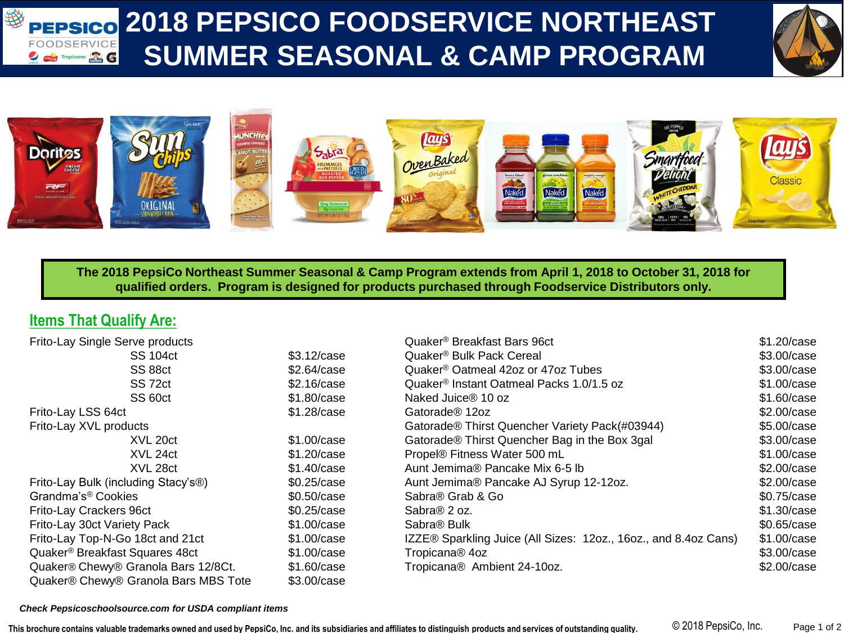### 袋 **2018 PEPSICO FOODSERVICE NORTHEAST PEPSICO** FOODSERVICE **SUMMER SEASONAL & CAMP PROGRAM** *D Guides* Tropicana **and**





**The 2018 PepsiCo Northeast Summer Seasonal & Camp Program extends from April 1, 2018 to October 31, 2018 for qualified orders. Program is designed for products purchased through Foodservice Distributors only.** 

## **Items That Qualify Are:**

| Frito-Lay Single Serve products                 |             | Quaker <sup>®</sup> Breakfast Bars 96ct                         | \$1.20/case |
|-------------------------------------------------|-------------|-----------------------------------------------------------------|-------------|
| <b>SS 104ct</b>                                 | \$3.12/case | Quaker <sup>®</sup> Bulk Pack Cereal                            | \$3.00/case |
| SS 88ct                                         | \$2.64/case | Quaker <sup>®</sup> Oatmeal 42oz or 47oz Tubes                  | \$3.00/case |
| SS 72ct                                         | \$2.16/case | Quaker <sup>®</sup> Instant Oatmeal Packs 1.0/1.5 oz            | \$1.00/case |
| SS 60ct                                         | \$1.80/case | Naked Juice® 10 oz                                              | \$1.60/case |
| Frito-Lay LSS 64ct                              | \$1.28/case | Gatorade <sup>®</sup> 12oz                                      | \$2.00/case |
| Frito-Lay XVL products                          |             | Gatorade® Thirst Quencher Variety Pack(#03944)                  | \$5.00/case |
| XVL 20ct                                        | \$1.00/case | Gatorade® Thirst Quencher Bag in the Box 3gal                   | \$3.00/case |
| XVL 24ct                                        | \$1.20/case | Propel® Fitness Water 500 mL                                    | \$1.00/case |
| XVL 28ct                                        | \$1.40/case | Aunt Jemima® Pancake Mix 6-5 lb                                 | \$2.00/case |
| Frito-Lay Bulk (including Stacy's <sup>®)</sup> | \$0.25/case | Aunt Jemima® Pancake AJ Syrup 12-12oz.                          | \$2.00/case |
| Grandma's <sup>®</sup> Cookies                  | \$0.50/case | Sabra <sup>®</sup> Grab & Go                                    | \$0.75/case |
| Frito-Lay Crackers 96ct                         | \$0.25/case | Sabra® 2 oz.                                                    | \$1.30/case |
| Frito-Lay 30ct Variety Pack                     | \$1.00/case | Sabra <sup>®</sup> Bulk                                         | \$0.65/case |
| Frito-Lay Top-N-Go 18ct and 21ct                | \$1.00/case | IZZE® Sparkling Juice (All Sizes: 12oz., 16oz., and 8.4oz Cans) | \$1.00/case |
| Quaker <sup>®</sup> Breakfast Squares 48ct      | \$1.00/case | Tropicana <sup>®</sup> 4oz                                      | \$3.00/case |
| Quaker® Chewy® Granola Bars 12/8Ct.             | \$1,60/case | Tropicana® Ambient 24-10oz.                                     | \$2.00/case |
| Quaker® Chewy® Granola Bars MBS Tote            | \$3.00/case |                                                                 |             |

### *Check Pepsicoschoolsource.com for USDA compliant items*

**This brochure contains valuable trademarks owned and used by PepsiCo, Inc. and its subsidiaries and affiliates to distinguish products and services of outstanding quality.** © 2018 PepsiCo, Inc. Page 1 of 2